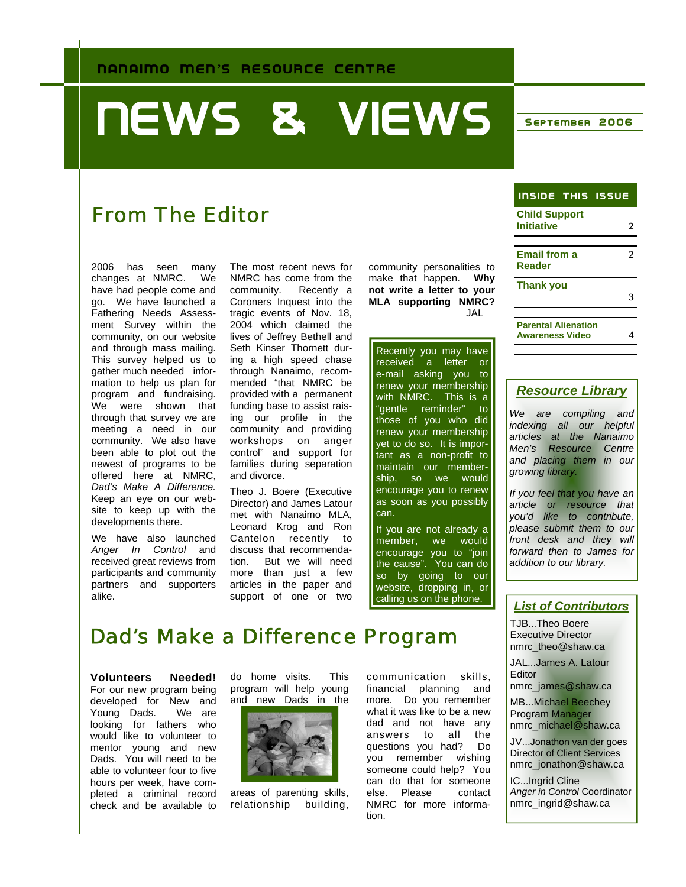# **NEWS & VIEWS SEPTEMBER 2006**

### From The Editor

2006 has seen many changes at NMRC. We have had people come and go. We have launched a Fathering Needs Assessment Survey within the community, on our website and through mass mailing. This survey helped us to gather much needed information to help us plan for program and fundraising. We were shown that through that survey we are meeting a need in our community. We also have been able to plot out the newest of programs to be offered here at NMRC, *Dad's Make A Difference.*  Keep an eye on our website to keep up with the developments there.

We have also launched *Anger In Control* and received great reviews from participants and community partners and supporters alike.

The most recent news for NMRC has come from the<br>community. Recently a Recently a Coroners Inquest into the tragic events of Nov. 18, 2004 which claimed the lives of Jeffrey Bethell and Seth Kinser Thornett during a high speed chase through Nanaimo, recommended "that NMRC be provided with a permanent funding base to assist raising our profile in the community and providing workshops on anger control" and support for families during separation and divorce.

Theo J. Boere (Executive Director) and James Latour met with Nanaimo MLA, Leonard Krog and Ron Cantelon recently to discuss that recommendation. But we will need more than just a few articles in the paper and support of one or two

community personalities to make that happen. **Why not write a letter to your MLA supporting NMRC?** JAL

Recently you may have received a letter or e-mail asking you to renew your membership with NMRC. This is a "gentle reminder" to those of you who did renew your membership yet to do so. It is important as a non-profit to maintain our membership, so we would encourage you to renew as soon as you possibly can.

If you are not already a member, we would encourage you to "join the cause". You can do so by going to our website, dropping in, or calling us on the phone.

| <b>INSIDE THIS ISSUE</b>                             |  |
|------------------------------------------------------|--|
| <b>Child Support</b><br>Initiative                   |  |
| <b>Email from a</b><br>Reader                        |  |
| <b>Thank you</b>                                     |  |
| <b>Parental Alienation</b><br><b>Awareness Video</b> |  |

#### *Resource Library*

*We are compiling and indexing all our helpful articles at the Nanaimo Men's Resource Centre and placing them in our growing library.* 

*If you feel that you have an article or resource that you'd like to contribute, please submit them to our front desk and they will forward then to James for addition to our library.* 

#### *List of Contributors*

TJB...Theo Boere Executive Director nmrc\_theo@shaw.ca

JAL...James A. Latour **Editor** 

nmrc\_james@shaw.ca

MB...Michael Beechey Program Manager nmrc\_michael@shaw.ca

JV...Jonathon van der goes Director of Client Services nmrc\_jonathon@shaw.ca

IC...Ingrid Cline *Anger in Control* Coordinator nmrc\_ingrid@shaw.ca

### Dad's Make a Difference Program

**Volunteers Needed!**  For our new program being developed for New and Young Dads. We are looking for fathers who would like to volunteer to mentor young and new Dads. You will need to be able to volunteer four to five hours per week, have completed a criminal record check and be available to

do home visits. This program will help young and new Dads in the



areas of parenting skills, relationship building,

communication skills, financial planning and more. Do you remember what it was like to be a new dad and not have any answers to all the questions you had? Do you remember wishing someone could help? You can do that for someone else. Please contact NMRC for more information.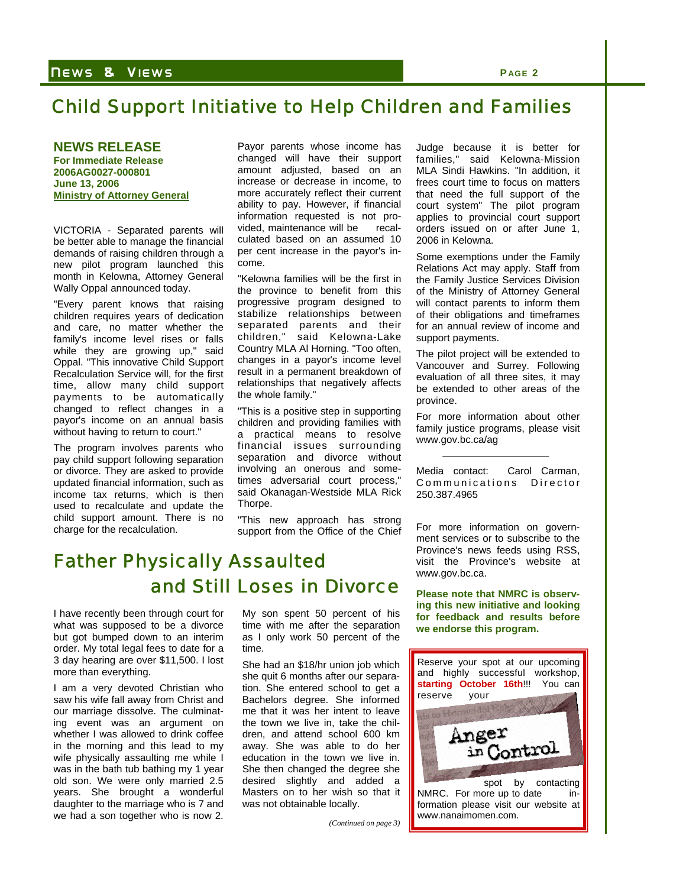#### N EWS & V IEWS **P AGE 2**

### Child Support Initiative to Help Children and Families

**NEWS RELEASE For Immediate Release 2006AG0027-000801 June 13, 2006 Ministry of Attorney General**

VICTORIA - Separated parents will be better able to manage the financial demands of raising children through a new pilot program launched this month in Kelowna, Attorney General Wally Oppal announced today.

"Every parent knows that raising children requires years of dedication and care, no matter whether the family's income level rises or falls while they are growing up," said Oppal. "This innovative Child Support Recalculation Service will, for the first time, allow many child support payments to be automatically changed to reflect changes in a payor's income on an annual basis without having to return to court."

The program involves parents who pay child support following separation or divorce. They are asked to provide updated financial information, such as income tax returns, which is then used to recalculate and update the child support amount. There is no charge for the recalculation.

Payor parents whose income has changed will have their support amount adjusted, based on an increase or decrease in income, to more accurately reflect their current ability to pay. However, if financial information requested is not provided, maintenance will be recalculated based on an assumed 10 per cent increase in the payor's income.

"Kelowna families will be the first in the province to benefit from this progressive program designed to stabilize relationships between separated parents and their children," said Kelowna-Lake Country MLA Al Horning. "Too often, changes in a payor's income level result in a permanent breakdown of relationships that negatively affects the whole family."

"This is a positive step in supporting children and providing families with a practical means to resolve financial issues surrounding separation and divorce without involving an onerous and sometimes adversarial court process," said Okanagan-Westside MLA Rick Thorpe.

"This new approach has strong support from the Office of the Chief

### Father Physically Assaulted and Still Loses in Divorce

I have recently been through court for what was supposed to be a divorce but got bumped down to an interim order. My total legal fees to date for a 3 day hearing are over \$11,500. I lost more than everything.

I am a very devoted Christian who saw his wife fall away from Christ and our marriage dissolve. The culminating event was an argument on whether I was allowed to drink coffee in the morning and this lead to my wife physically assaulting me while I was in the bath tub bathing my 1 year old son. We were only married 2.5 years. She brought a wonderful daughter to the marriage who is 7 and we had a son together who is now 2.

My son spent 50 percent of his time with me after the separation as I only work 50 percent of the time.

She had an \$18/hr union job which she quit 6 months after our separation. She entered school to get a Bachelors degree. She informed me that it was her intent to leave the town we live in, take the children, and attend school 600 km away. She was able to do her education in the town we live in. She then changed the degree she desired slightly and added a Masters on to her wish so that it was not obtainable locally.

*(Continued on page 3)* 

Judge because it is better for families," said Kelowna-Mission MLA Sindi Hawkins. "In addition, it frees court time to focus on matters that need the full support of the court system" The pilot program applies to provincial court support orders issued on or after June 1, 2006 in Kelowna.

Some exemptions under the Family Relations Act may apply. Staff from the Family Justice Services Division of the Ministry of Attorney General will contact parents to inform them of their obligations and timeframes for an annual review of income and support payments.

The pilot project will be extended to Vancouver and Surrey. Following evaluation of all three sites, it may be extended to other areas of the province.

For more information about other family justice programs, please visit www.gov.bc.ca/ag

Media contact: Carol Carman, Communications Director 250.387.4965

For more information on government services or to subscribe to the Province's news feeds using RSS, visit the Province's website at www.gov.bc.ca.

**Please note that NMRC is observing this new initiative and looking for feedback and results before we endorse this program.** 

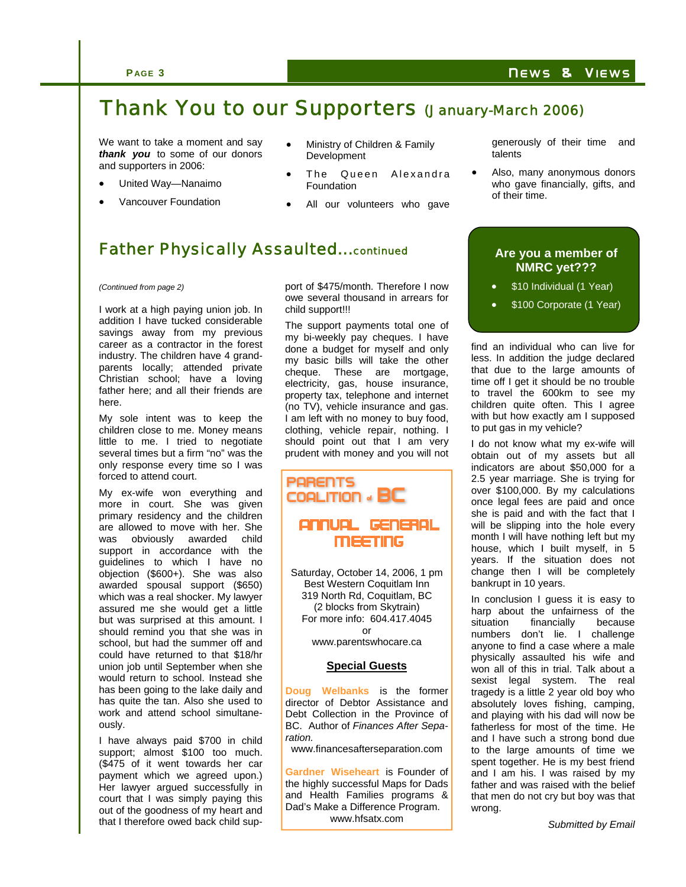### Thank You to our Supporters (January-March 2006)

We want to take a moment and say *thank you* to some of our donors and supporters in 2006:

- United Way—Nanaimo
- Vancouver Foundation
- Ministry of Children & Family **Development**
- The Queen Alexandra Foundation
- All our volunteers who gave

generously of their time and talents

Also, many anonymous donors who gave financially, gifts, and of their time.

#### Father Physically Assaulted...continued **Are you a member of**

#### *(Continued from page 2)*

I work at a high paying union job. In addition I have tucked considerable savings away from my previous career as a contractor in the forest industry. The children have 4 grandparents locally; attended private Christian school; have a loving father here; and all their friends are here.

My sole intent was to keep the children close to me. Money means little to me. I tried to negotiate several times but a firm "no" was the only response every time so I was forced to attend court.

My ex-wife won everything and more in court. She was given primary residency and the children are allowed to move with her. She was obviously awarded child support in accordance with the guidelines to which I have no objection (\$600+). She was also awarded spousal support (\$650) which was a real shocker. My lawyer assured me she would get a little but was surprised at this amount. I should remind you that she was in school, but had the summer off and could have returned to that \$18/hr union job until September when she would return to school. Instead she has been going to the lake daily and has quite the tan. Also she used to work and attend school simultaneously.

I have always paid \$700 in child support; almost \$100 too much. (\$475 of it went towards her car payment which we agreed upon.) Her lawyer argued successfully in court that I was simply paying this out of the goodness of my heart and that I therefore owed back child support of \$475/month. Therefore I now owe several thousand in arrears for child support!!!

The support payments total one of my bi-weekly pay cheques. I have done a budget for myself and only my basic bills will take the other cheque. These are mortgage, electricity, gas, house insurance, property tax, telephone and internet (no TV), vehicle insurance and gas. I am left with no money to buy food, clothing, vehicle repair, nothing. I should point out that I am very prudent with money and you will not



Saturday, October 14, 2006, 1 pm Best Western Coquitlam Inn 319 North Rd, Coquitlam, BC (2 blocks from Skytrain) For more info: 604.417.4045 or www.parentswhocare.ca

#### **Special Guests**

**Doug Welbanks** is the former director of Debtor Assistance and Debt Collection in the Province of BC. Author of *Finances After Separation.* 

www.financesafterseparation.com

**Gardner Wiseheart** is Founder of the highly successful Maps for Dads and Health Families programs & Dad's Make a Difference Program. www.hfsatx.com

## **NMRC yet???**

- \$10 Individual (1 Year)
- \$100 Corporate (1 Year)

find an individual who can live for less. In addition the judge declared that due to the large amounts of time off I get it should be no trouble to travel the 600km to see my children quite often. This I agree with but how exactly am I supposed to put gas in my vehicle?

I do not know what my ex-wife will obtain out of my assets but all indicators are about \$50,000 for a 2.5 year marriage. She is trying for over \$100,000. By my calculations once legal fees are paid and once she is paid and with the fact that I will be slipping into the hole every month I will have nothing left but my house, which I built myself, in 5 years. If the situation does not change then I will be completely bankrupt in 10 years.

In conclusion I guess it is easy to harp about the unfairness of the<br>situation financially because situation financially numbers don't lie. I challenge anyone to find a case where a male physically assaulted his wife and won all of this in trial. Talk about a sexist legal system. The real tragedy is a little 2 year old boy who absolutely loves fishing, camping, and playing with his dad will now be fatherless for most of the time. He and I have such a strong bond due to the large amounts of time we spent together. He is my best friend and I am his. I was raised by my father and was raised with the belief that men do not cry but boy was that wrong.